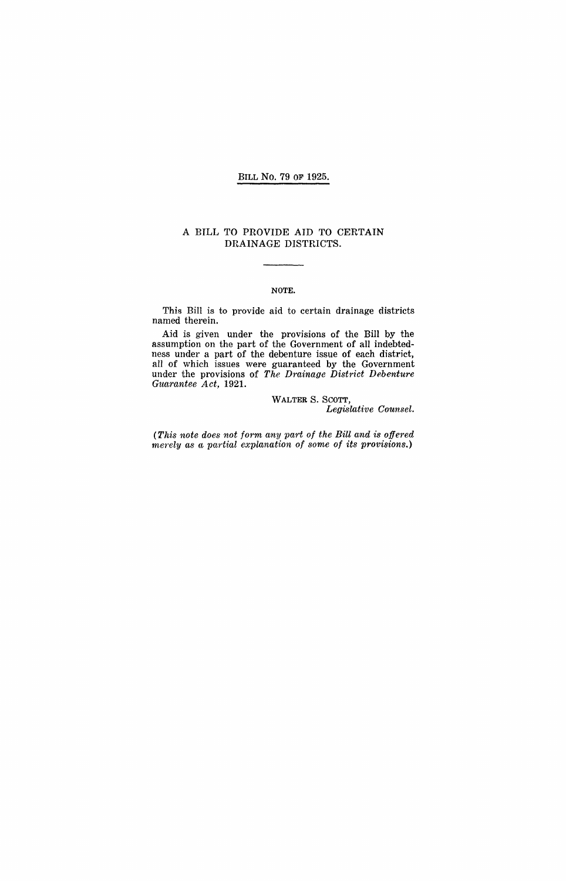### BILL No. 79 OF 1925.

#### A BILL TO PROVIDE AID TO CERTAIN DRAINAGE DISTRICTS.

#### NOTE.

This Bill is to provide aid to certain drainage districts named therein.

Aid is given under the provisions of the Bill by the assumption on the part of the Government of all indebtedness under a part of the debenture issue of each district, all of which issues were guaranteed by the Government under the provisions of *The Drainage District Debenture Guarantee Act,* 1921.

> WALTER S. SCOTT, *Legislative Counsel.*

*(This note does not form any part of the Bill and is offered merely as a partial explanation of some of its provisions.)*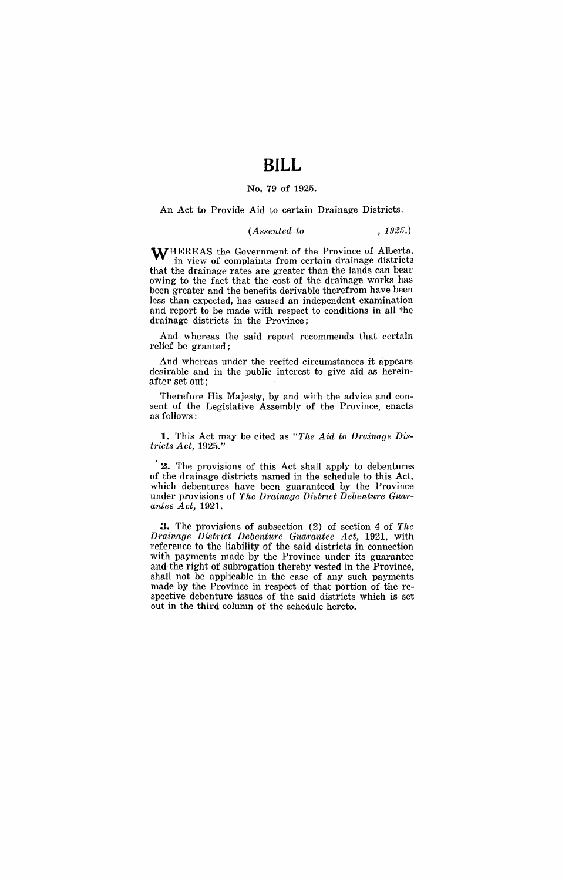## **BILL**

#### No. 79 of 1925.

An Act to Provide Aid to certain Drainage Districts.

### *(Assented to* , 1925.)

WHEREAS the Government of the Province of Alberta, in view of complaints from certain drainage districts that the drainage rates are greater than the lands can bear owing to the fact that the cost of the drainage works has been greater and the benefits derivable therefrom have been less than expected, has caused an independent examination and report to be made with respect to conditions in all the drainage districts in the Province;

And whereas the said report recommends that certain relief be granted;

And whereas under the recited circumstances it appears desirable and in the public interest to give aid as hereinafter set out;

Therefore His Majesty, by and with the advice and consent of the Legislative Assembly of the Province, enacts as follows:

**1.** This Act may be cited as *"The Aid to Drainage Districts Act, 1925."* 

2. The provisions of this Act shall apply to debentures of the drainage districts named in the schedule to this Act, which debentures have been guaranteed by the Province under provisions of *The Drainage District Debenture Guarantee Act,* 1921.

3. The provisions of subsection (2) of section 4 of *The Drainage District Debenture Guarantee Act,* 1921, with reference to the liability of the said districts in connection with payments made by the Province under its guarantee and the right of subrogation thereby vested in the Province, shall not be applicable in the case of any such payments made by the Province in respect of that portion of the respective debenture issues of the said districts which is set out in the third column of the schedule hereto.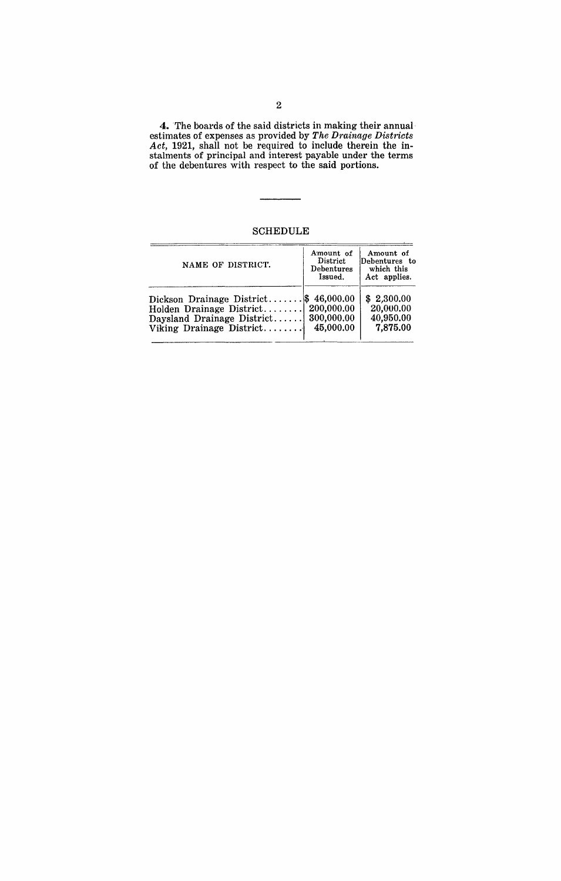4. The boards of the said districts in making their annual· estimates of expenses as provided by *The Drainage Districts Act,* 1921, shall not be required to include therein the instalments of principal and interest payable under the terms of the debentures with respect to the said portions.

SCHEDULE

| NAME OF DISTRICT.               | Amount of<br>District<br><b>Debentures</b><br>Issued. | Amount of<br>Debentures to<br>which this<br>Act applies. |
|---------------------------------|-------------------------------------------------------|----------------------------------------------------------|
| Dickson Drainage District $\$\$ | 46,000,00                                             | \$2,300.00                                               |
| Holden Drainage District        | 200,000.00                                            | 20,000.00                                                |
| Daysland Drainage District      | 300,000.00                                            | 40,950.00                                                |
| Viking Drainage District        | 45,000.00                                             | 7,875.00                                                 |